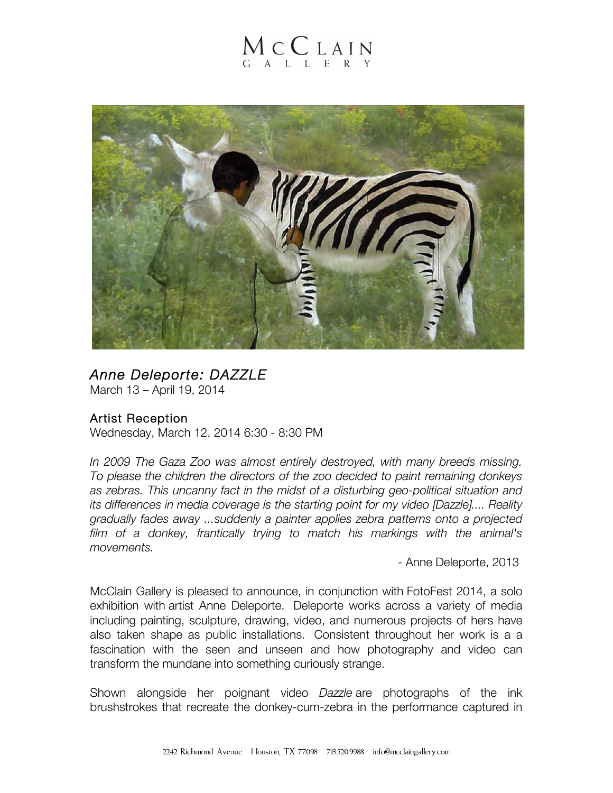## MCCLAIN  $G$  A L L E R Y



## *Anne Deleporte: DAZZLE*

March 13 – April 19, 2014

## Artist Reception

Wednesday, March 12, 2014 6:30 - 8:30 PM

*In 2009 The Gaza Zoo was almost entirely destroyed, with many breeds missing. To please the children the directors of the zoo decided to paint remaining donkeys as zebras. This uncanny fact in the midst of a disturbing geo-political situation and its differences in media coverage is the starting point for my video [Dazzle].... Reality gradually fades away ...suddenly a painter applies zebra patterns onto a projected film of a donkey, frantically trying to match his markings with the animal's movements.*

- Anne Deleporte, 2013

McClain Gallery is pleased to announce, in conjunction with FotoFest 2014, a solo exhibition with artist Anne Deleporte. Deleporte works across a variety of media including painting, sculpture, drawing, video, and numerous projects of hers have also taken shape as public installations. Consistent throughout her work is a a fascination with the seen and unseen and how photography and video can transform the mundane into something curiously strange.

Shown alongside her poignant video *Dazzle* are photographs of the ink brushstrokes that recreate the donkey-cum-zebra in the performance captured in